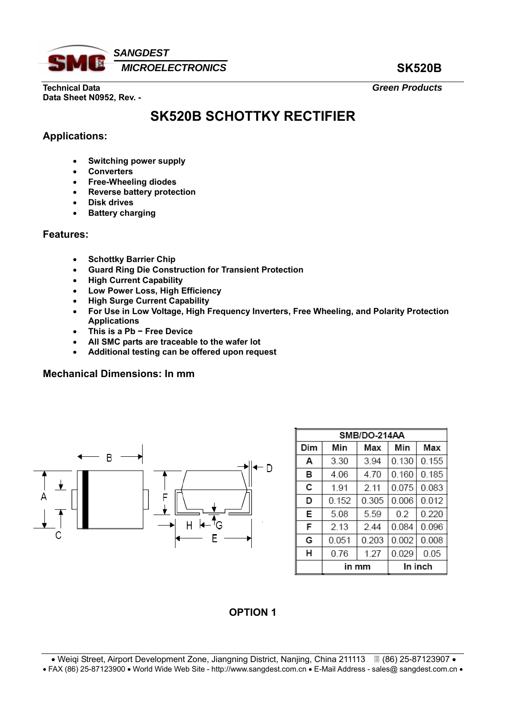

**Technical Data** *Green Products*  **Data Sheet N0952, Rev. -** 

# **SK520B SCHOTTKY RECTIFIER**

## **Applications:**

- **Switching power supply**
- **Converters**
- **Free-Wheeling diodes**
- **Reverse battery protection**
- **Disk drives**
- **Battery charging**

#### **Features:**

- **Schottky Barrier Chip**
- **Guard Ring Die Construction for Transient Protection**
- **High Current Capability**
- **Low Power Loss, High Efficiency**
- **High Surge Current Capability**
- **For Use in Low Voltage, High Frequency Inverters, Free Wheeling, and Polarity Protection Applications**
- **This is a Pb − Free Device**
- **All SMC parts are traceable to the wafer lot**
- **Additional testing can be offered upon request**

#### **Mechanical Dimensions: In mm**



| SMB/DO-214AA |       |       |         |       |  |  |  |
|--------------|-------|-------|---------|-------|--|--|--|
| Dim          | Min   | Max   | Min     | Max   |  |  |  |
| A            | 3.30  | 3.94  | 0.130   | 0.155 |  |  |  |
| в            | 4.06  | 4.70  | 0.160   | 0.185 |  |  |  |
| с            | 191   | 2.11  | 0.075   | 0.083 |  |  |  |
| D            | 0.152 | 0.305 | 0.006   | 0.012 |  |  |  |
| E            | 5.08  | 5.59  | 02      | 0.220 |  |  |  |
| F            | 2.13  | 244   | 0.084   | 0.096 |  |  |  |
| G            | 0.051 | 0.203 | 0.002   | 0.008 |  |  |  |
| н            | 0.76  | 1.27  | 0.029   | 0.05  |  |  |  |
|              | mm    |       | In inch |       |  |  |  |

# **OPTION 1**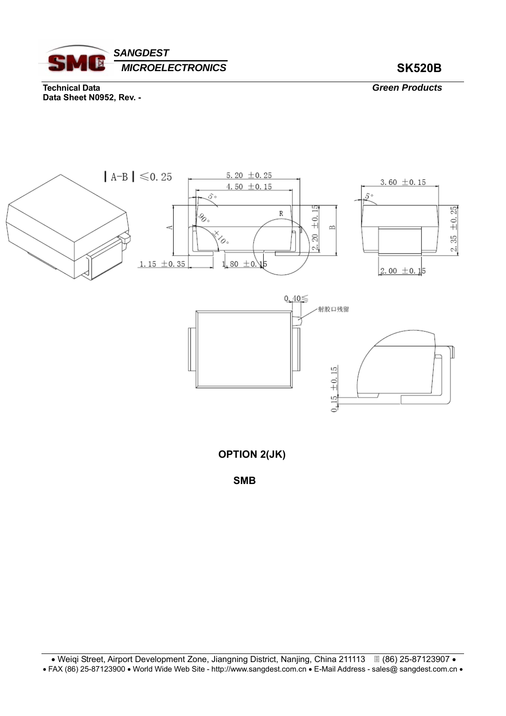

**Technical Data** *Green Products*  **Data Sheet N0952, Rev. -** 



**OPTION 2(JK)** 

**SMB**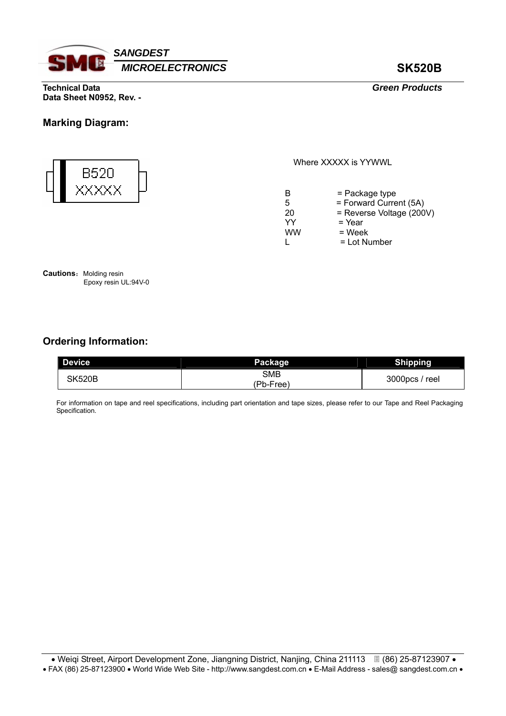

**Technical Data** *Green Products*  **Data Sheet N0952, Rev. -** 

### **Marking Diagram:**



Where XXXXX is YYWWL

| B         | $=$ Package type         |
|-----------|--------------------------|
| 5         | = Forward Current (5A)   |
| 20        | = Reverse Voltage (200V) |
| YY        | $=$ Year                 |
| <b>WW</b> | $=$ Week                 |
|           | $=$ Lot Number           |

**Cautions:** Molding resin Epoxy resin UL:94V-0

# **Ordering Information:**

| Device        | Package          | <b>Shipping</b> |
|---------------|------------------|-----------------|
| <b>SK520B</b> | SMB<br>(Pb-Free) | 3000pcs / reel  |

For information on tape and reel specifications, including part orientation and tape sizes, please refer to our Tape and Reel Packaging Specification.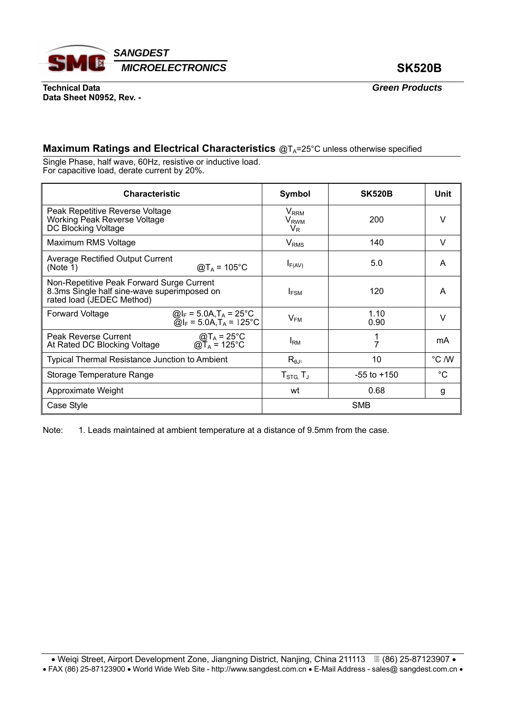

**Technical Data** *Green Products*  **Data Sheet N0952, Rev. -** 

## **Maximum Ratings and Electrical Characteristics** @T<sub>A</sub>=25°C unless otherwise specified

Single Phase, half wave, 60Hz, resistive or inductive load. For capacitive load, derate current by 20%.

| <b>Characteristic</b>                                                                                                                       | Symbol                                         | <b>SK520B</b>   | Unit        |
|---------------------------------------------------------------------------------------------------------------------------------------------|------------------------------------------------|-----------------|-------------|
| Peak Repetitive Reverse Voltage<br><b>Working Peak Reverse Voltage</b><br>DC Blocking Voltage                                               | $V_{RRM}$<br><b>V<sub>RWM</sub></b><br>$V_{R}$ | 200             | v           |
| Maximum RMS Voltage                                                                                                                         | $V_{RMS}$                                      | 140             | v           |
| <b>Average Rectified Output Current</b><br>$@T_A = 105$ °C<br>(Note 1)                                                                      | $I_{F(AV)}$                                    | 5.0             | A           |
| Non-Repetitive Peak Forward Surge Current<br>8.3ms Single half sine-wave superimposed on<br>rated load (JEDEC Method)                       | $I_{FSM}$                                      | 120             | A           |
| <b>Forward Voltage</b><br>@I <sub>F</sub> = 5.0A,T <sub>A</sub> = 25°C<br>@I <sub>F</sub> = 5.0A,T <sub>A</sub> = 125°C                     | $V_{FM}$                                       | 1.10<br>0.90    | V           |
| Peak Reverse Current<br>$\textcircled{a}$ T <sub>A</sub> = 25°C<br>$\textcircled{a}$ T <sub>A</sub> = 125°C<br>At Rated DC Blocking Voltage | $I_{\rm RM}$                                   | 7               | mA          |
| <b>Typical Thermal Resistance Junction to Ambient</b>                                                                                       | $R_{\theta J^A}$                               | 10              | °C /W       |
| Storage Temperature Range                                                                                                                   | $T_{\text{STG}}$ , $T_{\text{J}}$              | $-55$ to $+150$ | $^{\circ}C$ |
| Approximate Weight                                                                                                                          | wt                                             | 0.68            | g           |
| Case Style                                                                                                                                  | <b>SMB</b>                                     |                 |             |

Note: 1. Leads maintained at ambient temperature at a distance of 9.5mm from the case.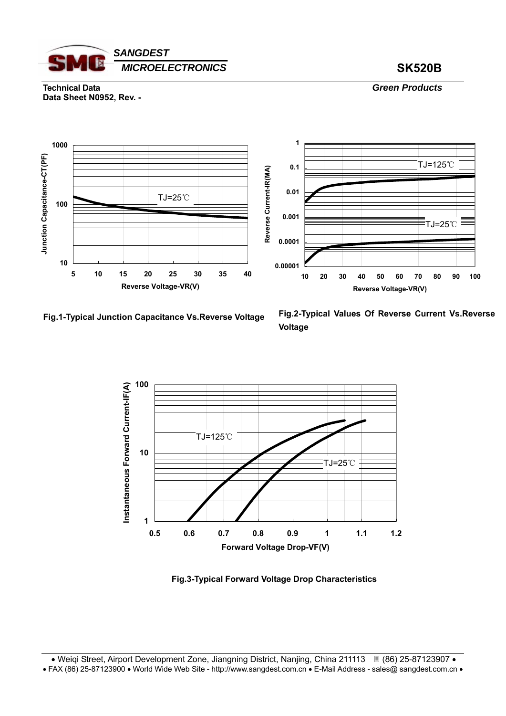

**Technical Data** *Green Products*  **Data Sheet N0952, Rev. -** 



**Fig.1-Typical Junction Capacitance Vs.Reverse Voltage**

**Fig.2-Typical Values Of Reverse Current Vs.Reverse Voltage** 



**Fig.3-Typical Forward Voltage Drop Characteristics**